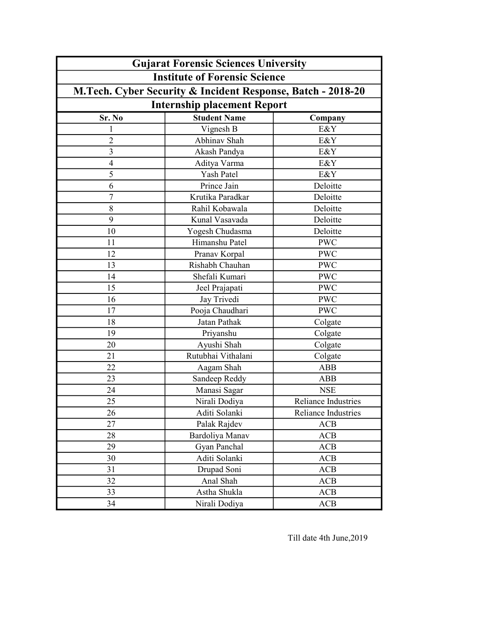| <b>Gujarat Forensic Sciences University</b>                 |                     |                            |  |
|-------------------------------------------------------------|---------------------|----------------------------|--|
| <b>Institute of Forensic Science</b>                        |                     |                            |  |
| M.Tech. Cyber Security & Incident Response, Batch - 2018-20 |                     |                            |  |
| <b>Internship placement Report</b>                          |                     |                            |  |
| Sr. No                                                      | <b>Student Name</b> | Company                    |  |
| 1                                                           | Vignesh B           | E&Y                        |  |
| $\overline{c}$                                              | Abhinav Shah        | E&Y                        |  |
| $\overline{3}$                                              | Akash Pandya        | E&Y                        |  |
| $\overline{\mathcal{A}}$                                    | Aditya Varma        | E&Y                        |  |
| 5                                                           | <b>Yash Patel</b>   | E&Y                        |  |
| 6                                                           | Prince Jain         | Deloitte                   |  |
| $\boldsymbol{7}$                                            | Krutika Paradkar    | Deloitte                   |  |
| 8                                                           | Rahil Kobawala      | Deloitte                   |  |
| 9                                                           | Kunal Vasavada      | Deloitte                   |  |
| 10                                                          | Yogesh Chudasma     | Deloitte                   |  |
| 11                                                          | Himanshu Patel      | <b>PWC</b>                 |  |
| 12                                                          | Pranav Korpal       | <b>PWC</b>                 |  |
| 13                                                          | Rishabh Chauhan     | <b>PWC</b>                 |  |
| 14                                                          | Shefali Kumari      | <b>PWC</b>                 |  |
| 15                                                          | Jeel Prajapati      | <b>PWC</b>                 |  |
| 16                                                          | Jay Trivedi         | <b>PWC</b>                 |  |
| 17                                                          | Pooja Chaudhari     | <b>PWC</b>                 |  |
| 18                                                          | Jatan Pathak        | Colgate                    |  |
| 19                                                          | Priyanshu           | Colgate                    |  |
| 20                                                          | Ayushi Shah         | Colgate                    |  |
| 21                                                          | Rutubhai Vithalani  | Colgate                    |  |
| 22                                                          | Aagam Shah          | <b>ABB</b>                 |  |
| 23                                                          | Sandeep Reddy       | <b>ABB</b>                 |  |
| 24                                                          | Manasi Sagar        | <b>NSE</b>                 |  |
| 25                                                          | Nirali Dodiya       | Reliance Industries        |  |
| 26                                                          | Aditi Solanki       | <b>Reliance Industries</b> |  |
| 27                                                          | Palak Rajdev        | ACB                        |  |
| 28                                                          | Bardoliya Manav     | ACB                        |  |
| 29                                                          | Gyan Panchal        | <b>ACB</b>                 |  |
| 30                                                          | Aditi Solanki       | ACB                        |  |
| 31                                                          | Drupad Soni         | <b>ACB</b>                 |  |
| 32                                                          | Anal Shah           | ACB                        |  |
| 33                                                          | Astha Shukla        | ACB                        |  |
| 34                                                          | Nirali Dodiya       | ACB                        |  |

Till date 4th June,2019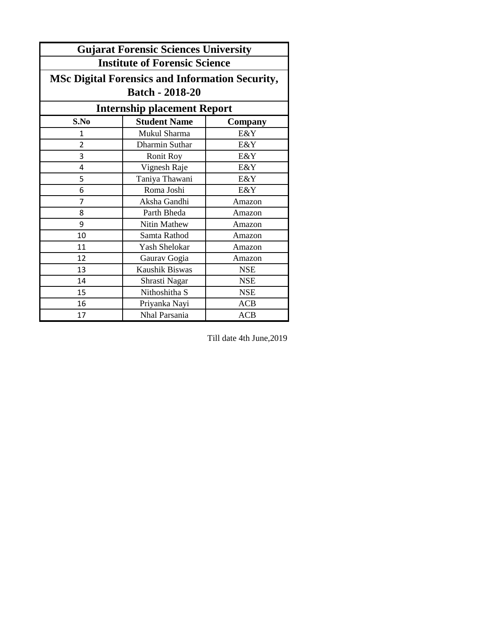| <b>Gujarat Forensic Sciences University</b>            |                     |            |  |
|--------------------------------------------------------|---------------------|------------|--|
| <b>Institute of Forensic Science</b>                   |                     |            |  |
| <b>MSc Digital Forensics and Information Security,</b> |                     |            |  |
| <b>Batch - 2018-20</b>                                 |                     |            |  |
| <b>Internship placement Report</b>                     |                     |            |  |
| S.No                                                   | <b>Student Name</b> | Company    |  |
| $\mathbf{1}$                                           | Mukul Sharma        | E&Y        |  |
| $\overline{2}$                                         | Dharmin Suthar      | E&Y        |  |
| 3                                                      | <b>Ronit Roy</b>    | E&Y        |  |
| 4                                                      | Vignesh Raje        | E&Y        |  |
| 5                                                      | Taniya Thawani      | E&Y        |  |
| 6                                                      | Roma Joshi          | E&Y        |  |
| 7                                                      | Aksha Gandhi        | Amazon     |  |
| 8                                                      | Parth Bheda         | Amazon     |  |
| 9                                                      | Nitin Mathew        | Amazon     |  |
| 10                                                     | Samta Rathod        | Amazon     |  |
| 11                                                     | Yash Shelokar       | Amazon     |  |
| 12                                                     | Gaurav Gogia        | Amazon     |  |
| 13                                                     | Kaushik Biswas      | <b>NSE</b> |  |
| 14                                                     | Shrasti Nagar       | <b>NSE</b> |  |
| 15                                                     | Nithoshitha S       | <b>NSE</b> |  |
| 16                                                     | Priyanka Nayi       | <b>ACB</b> |  |
| 17                                                     | Nhal Parsania       | <b>ACB</b> |  |

Till date 4th June,2019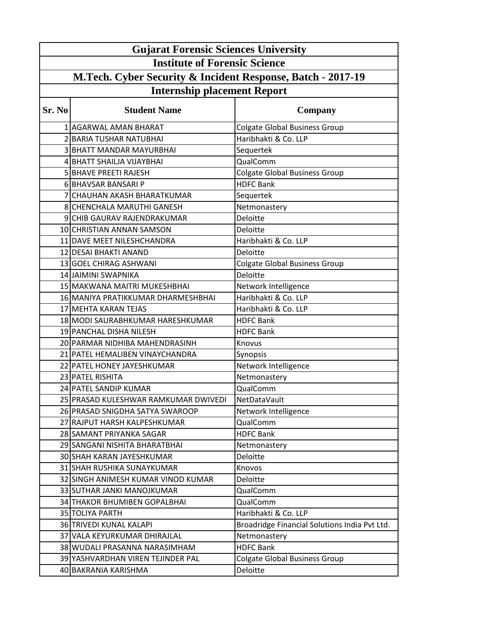|                                                                                                   | <b>Gujarat Forensic Sciences University</b> |                                               |  |
|---------------------------------------------------------------------------------------------------|---------------------------------------------|-----------------------------------------------|--|
| <b>Institute of Forensic Science</b>                                                              |                                             |                                               |  |
|                                                                                                   |                                             |                                               |  |
| M.Tech. Cyber Security & Incident Response, Batch - 2017-19<br><b>Internship placement Report</b> |                                             |                                               |  |
|                                                                                                   |                                             |                                               |  |
| Sr. No                                                                                            | <b>Student Name</b>                         | Company                                       |  |
|                                                                                                   | 1 AGARWAL AMAN BHARAT                       | <b>Colgate Global Business Group</b>          |  |
|                                                                                                   | 2 BARIA TUSHAR NATUBHAI                     | Haribhakti & Co. LLP                          |  |
|                                                                                                   | <b>3 BHATT MANDAR MAYURBHAI</b>             | Sequertek                                     |  |
|                                                                                                   | 4 BHATT SHAILJA VIJAYBHAI                   | QualComm                                      |  |
|                                                                                                   | 5 BHAVE PREETI RAJESH                       | <b>Colgate Global Business Group</b>          |  |
|                                                                                                   | 6 BHAVSAR BANSARI P                         | <b>HDFC Bank</b>                              |  |
|                                                                                                   | 7 CHAUHAN AKASH BHARATKUMAR                 | Sequertek                                     |  |
|                                                                                                   | 8 CHENCHALA MARUTHI GANESH                  | Netmonastery                                  |  |
|                                                                                                   | 9 CHIB GAURAV RAJENDRAKUMAR                 | <b>Deloitte</b>                               |  |
|                                                                                                   | 10 CHRISTIAN ANNAN SAMSON                   | Deloitte                                      |  |
|                                                                                                   | 11 DAVE MEET NILESHCHANDRA                  | Haribhakti & Co. LLP                          |  |
|                                                                                                   | 12 DESAI BHAKTI ANAND                       | Deloitte                                      |  |
|                                                                                                   | 13 GOEL CHIRAG ASHWANI                      | <b>Colgate Global Business Group</b>          |  |
|                                                                                                   | 14 JAIMINI SWAPNIKA                         | Deloitte                                      |  |
|                                                                                                   | 15 MAKWANA MAITRI MUKESHBHAI                | Network Intelligence                          |  |
|                                                                                                   | 16 MANIYA PRATIKKUMAR DHARMESHBHAI          | Haribhakti & Co. LLP                          |  |
|                                                                                                   | 17 MEHTA KARAN TEJAS                        | Haribhakti & Co. LLP                          |  |
|                                                                                                   | 18 MODI SAURABHKUMAR HARESHKUMAR            | <b>HDFC Bank</b>                              |  |
|                                                                                                   | 19 PANCHAL DISHA NILESH                     | <b>HDFC Bank</b>                              |  |
|                                                                                                   | 20 PARMAR NIDHIBA MAHENDRASINH              | Knovus                                        |  |
|                                                                                                   | 21 PATEL HEMALIBEN VINAYCHANDRA             | Synopsis                                      |  |
|                                                                                                   | 22 PATEL HONEY JAYESHKUMAR                  | Network Intelligence                          |  |
|                                                                                                   | 23 PATEL RISHITA                            | Netmonastery                                  |  |
|                                                                                                   | 24 PATEL SANDIP KUMAR                       | QualComm                                      |  |
|                                                                                                   | 25 PRASAD KULESHWAR RAMKUMAR DWIVEDI        | NetDataVault                                  |  |
|                                                                                                   | 26 PRASAD SNIGDHA SATYA SWAROOP             | Network Intelligence                          |  |
|                                                                                                   | 27 RAJPUT HARSH KALPESHKUMAR                | QualComm                                      |  |
|                                                                                                   | 28 SAMANT PRIYANKA SAGAR                    | <b>HDFC Bank</b>                              |  |
|                                                                                                   | 29 SANGANI NISHITA BHARATBHAI               | Netmonastery                                  |  |
|                                                                                                   | 30 SHAH KARAN JAYESHKUMAR                   | Deloitte                                      |  |
|                                                                                                   | 31 SHAH RUSHIKA SUNAYKUMAR                  | Knovos                                        |  |
|                                                                                                   | 32 SINGH ANIMESH KUMAR VINOD KUMAR          | Deloitte                                      |  |
|                                                                                                   | 33 SUTHAR JANKI MANOJKUMAR                  | QualComm                                      |  |
|                                                                                                   | 34 THAKOR BHUMIBEN GOPALBHAI                | QualComm                                      |  |
|                                                                                                   | 35 TOLIYA PARTH                             | Haribhakti & Co. LLP                          |  |
|                                                                                                   | 36 TRIVEDI KUNAL KALAPI                     | Broadridge Financial Solutions India Pvt Ltd. |  |
|                                                                                                   | 37 VALA KEYURKUMAR DHIRAJLAL                | Netmonastery                                  |  |
|                                                                                                   | 38 WUDALI PRASANNA NARASIMHAM               | <b>HDFC Bank</b>                              |  |
|                                                                                                   | 39 YASHVARDHAN VIREN TEJINDER PAL           | <b>Colgate Global Business Group</b>          |  |
|                                                                                                   | 40 BAKRANIA KARISHMA                        | Deloitte                                      |  |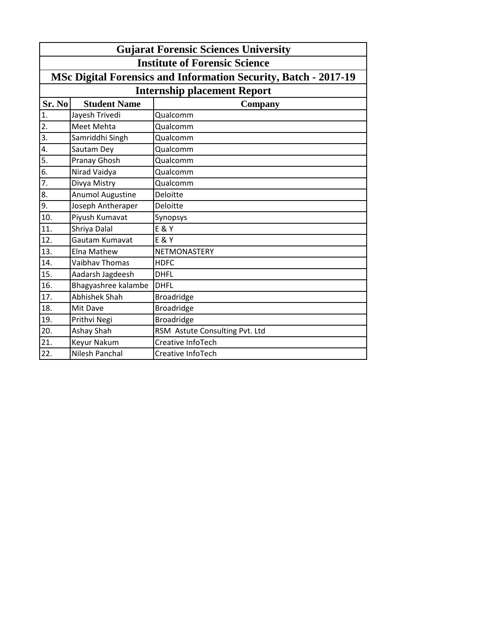|                   | <b>Gujarat Forensic Sciences University</b>                     |                                |  |  |
|-------------------|-----------------------------------------------------------------|--------------------------------|--|--|
|                   | <b>Institute of Forensic Science</b>                            |                                |  |  |
|                   | MSc Digital Forensics and Information Security, Batch - 2017-19 |                                |  |  |
|                   | <b>Internship placement Report</b>                              |                                |  |  |
| Sr. No            | <b>Student Name</b>                                             | Company                        |  |  |
| 1.                | Jayesh Trivedi                                                  | Qualcomm                       |  |  |
| $\overline{2}$ .  | Meet Mehta                                                      | Qualcomm                       |  |  |
| $\overline{3}$ .  | Samriddhi Singh                                                 | Qualcomm                       |  |  |
| 4.                | Sautam Dey                                                      | Qualcomm                       |  |  |
| $\overline{5}$ .  | Pranay Ghosh                                                    | Qualcomm                       |  |  |
| $\overline{6}$ .  | Nirad Vaidya                                                    | Qualcomm                       |  |  |
| 7.                | Divya Mistry                                                    | Qualcomm                       |  |  |
| 8.                | <b>Anumol Augustine</b>                                         | Deloitte                       |  |  |
| 9.                | Joseph Antheraper                                               | Deloitte                       |  |  |
| 10.               | Piyush Kumavat                                                  | Synopsys                       |  |  |
| $\overline{11}$ . | Shriya Dalal                                                    | <b>E &amp; Y</b>               |  |  |
| 12.               | Gautam Kumavat                                                  | <b>E &amp; Y</b>               |  |  |
| 13.               | Elna Mathew                                                     | NETMONASTERY                   |  |  |
| 14.               | Vaibhav Thomas                                                  | <b>HDFC</b>                    |  |  |
| 15.               | Aadarsh Jagdeesh                                                | <b>DHFL</b>                    |  |  |
| 16.               | Bhagyashree kalambe                                             | <b>DHFL</b>                    |  |  |
| 17.               | <b>Abhishek Shah</b>                                            | <b>Broadridge</b>              |  |  |
| 18.               | Mit Dave                                                        | <b>Broadridge</b>              |  |  |
| 19.               | Prithvi Negi                                                    | <b>Broadridge</b>              |  |  |
| $\overline{20}$ . | Ashay Shah                                                      | RSM Astute Consulting Pvt. Ltd |  |  |
| 21.               | Keyur Nakum                                                     | Creative InfoTech              |  |  |
| 22.               | <b>Nilesh Panchal</b>                                           | Creative InfoTech              |  |  |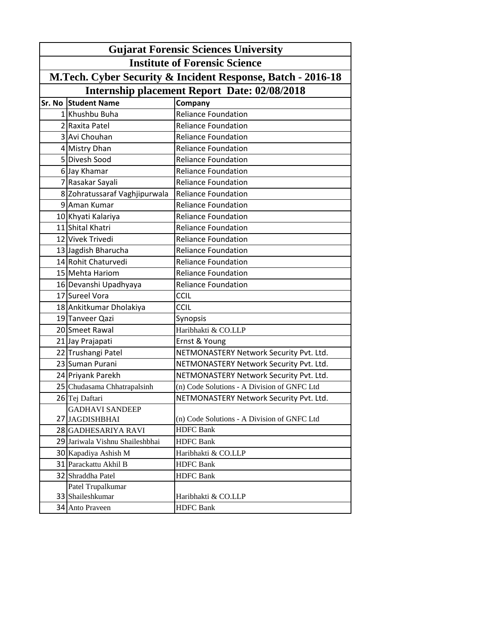| <b>Gujarat Forensic Sciences University</b>                 |                                                     |                                             |  |  |
|-------------------------------------------------------------|-----------------------------------------------------|---------------------------------------------|--|--|
| <b>Institute of Forensic Science</b>                        |                                                     |                                             |  |  |
| M.Tech. Cyber Security & Incident Response, Batch - 2016-18 |                                                     |                                             |  |  |
|                                                             | <b>Internship placement Report Date: 02/08/2018</b> |                                             |  |  |
|                                                             | <b>Sr. No Student Name</b>                          | Company                                     |  |  |
|                                                             | 1 Khushbu Buha                                      | <b>Reliance Foundation</b>                  |  |  |
|                                                             | 2 Raxita Patel                                      | <b>Reliance Foundation</b>                  |  |  |
|                                                             | 3 Avi Chouhan                                       | <b>Reliance Foundation</b>                  |  |  |
|                                                             | 4 Mistry Dhan                                       | <b>Reliance Foundation</b>                  |  |  |
|                                                             | 5 Divesh Sood                                       | <b>Reliance Foundation</b>                  |  |  |
|                                                             | 6 Jay Khamar                                        | <b>Reliance Foundation</b>                  |  |  |
|                                                             | 7 Rasakar Sayali                                    | <b>Reliance Foundation</b>                  |  |  |
|                                                             | 8 Zohratussaraf Vaghjipurwala                       | <b>Reliance Foundation</b>                  |  |  |
|                                                             | 9 Aman Kumar                                        | <b>Reliance Foundation</b>                  |  |  |
|                                                             | 10 Khyati Kalariya                                  | <b>Reliance Foundation</b>                  |  |  |
|                                                             | 11 Shital Khatri                                    | <b>Reliance Foundation</b>                  |  |  |
|                                                             | 12 Vivek Trivedi                                    | <b>Reliance Foundation</b>                  |  |  |
|                                                             | 13 Jagdish Bharucha                                 | <b>Reliance Foundation</b>                  |  |  |
|                                                             | 14 Rohit Chaturvedi                                 | <b>Reliance Foundation</b>                  |  |  |
|                                                             | 15 Mehta Hariom                                     | <b>Reliance Foundation</b>                  |  |  |
|                                                             | 16 Devanshi Upadhyaya                               | <b>Reliance Foundation</b>                  |  |  |
|                                                             | 17 Sureel Vora                                      | CCIL                                        |  |  |
|                                                             | 18 Ankitkumar Dholakiya                             | <b>CCIL</b>                                 |  |  |
|                                                             | 19 Tanveer Qazi                                     | Synopsis                                    |  |  |
|                                                             | 20 Smeet Rawal                                      | Haribhakti & CO.LLP                         |  |  |
|                                                             | 21 Jay Prajapati                                    | Ernst & Young                               |  |  |
|                                                             | 22 Trushangi Patel                                  | NETMONASTERY Network Security Pvt. Ltd.     |  |  |
|                                                             | 23 Suman Purani                                     | NETMONASTERY Network Security Pvt. Ltd.     |  |  |
|                                                             | 24 Priyank Parekh                                   | NETMONASTERY Network Security Pvt. Ltd.     |  |  |
|                                                             | 25 Chudasama Chhatrapalsinh                         | (n) Code Solutions - A Division of GNFC Ltd |  |  |
|                                                             | 26 Tej Daftari                                      | NETMONASTERY Network Security Pvt. Ltd.     |  |  |
|                                                             | <b>GADHAVI SANDEEP</b>                              |                                             |  |  |
|                                                             | 27 JAGDISHBHAI                                      | (n) Code Solutions - A Division of GNFC Ltd |  |  |
|                                                             | 28 GADHESARIYA RAVI                                 | <b>HDFC</b> Bank                            |  |  |
|                                                             | 29 Jariwala Vishnu Shaileshbhai                     | <b>HDFC Bank</b>                            |  |  |
|                                                             | 30 Kapadiya Ashish M                                | Haribhakti & CO.LLP                         |  |  |
|                                                             | 31 Parackattu Akhil B                               | <b>HDFC Bank</b>                            |  |  |
|                                                             | 32 Shraddha Patel                                   | <b>HDFC Bank</b>                            |  |  |
|                                                             | Patel Trupalkumar                                   |                                             |  |  |
|                                                             | 33 Shaileshkumar                                    | Haribhakti & CO.LLP                         |  |  |
|                                                             | 34 Anto Praveen                                     | <b>HDFC Bank</b>                            |  |  |